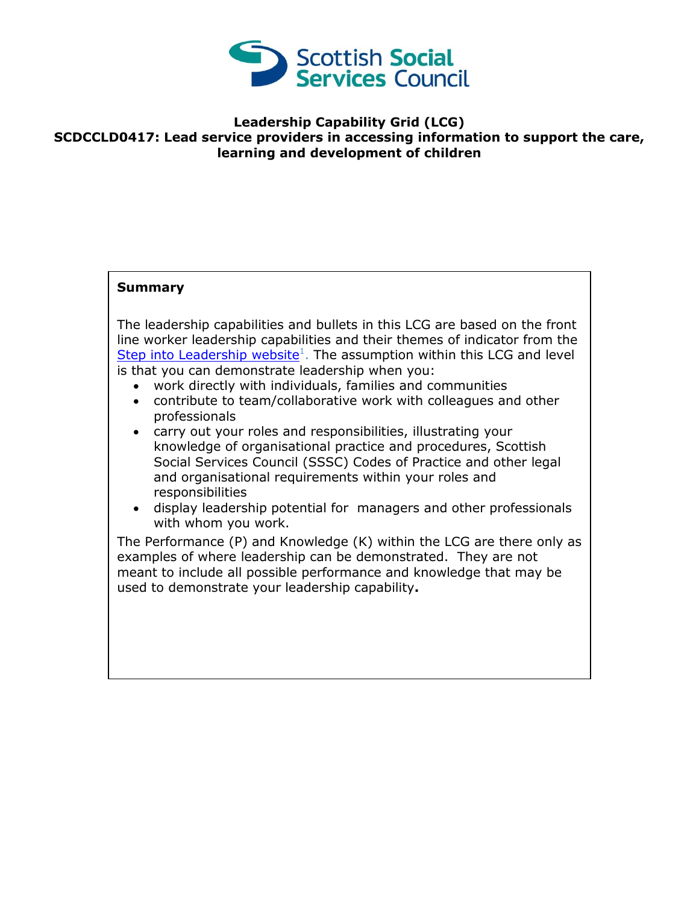

## **Leadership Capability Grid (LCG) SCDCCLD0417: Lead service providers in accessing information to support the care, learning and development of children**

## **Summary**

The leadership capabilities and bullets in this LCG are based on the front line worker leadership capabilities and their themes of indicator from the [Step into Leadership website](http://www.stepintoleadership.info/)<sup>1</sup>. The assumption within this LCG and level is that you can demonstrate leadership when you:

- work directly with individuals, families and communities
- contribute to team/collaborative work with colleagues and other professionals
- carry out your roles and responsibilities, illustrating your knowledge of organisational practice and procedures, Scottish Social Services Council (SSSC) Codes of Practice and other legal and organisational requirements within your roles and responsibilities
- display leadership potential for managers and other professionals with whom you work.

The Performance (P) and Knowledge (K) within the LCG are there only as examples of where leadership can be demonstrated. They are not meant to include all possible performance and knowledge that may be used to demonstrate your leadership capability**.**